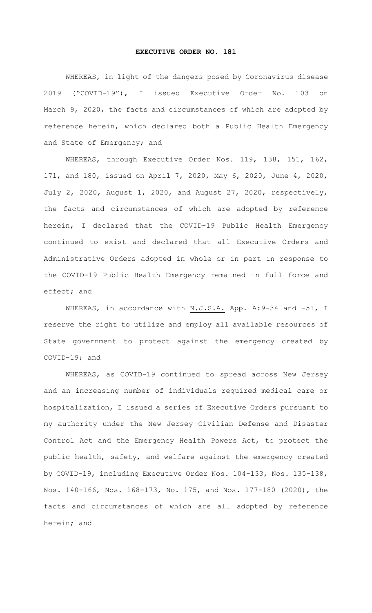## **EXECUTIVE ORDER NO. 181**

WHEREAS, in light of the dangers posed by Coronavirus disease 2019 ("COVID-19"), I issued Executive Order No. 103 on March 9, 2020, the facts and circumstances of which are adopted by reference herein, which declared both a Public Health Emergency and State of Emergency; and

WHEREAS, through Executive Order Nos. 119, 138, 151, 162, 171, and 180, issued on April 7, 2020, May 6, 2020, June 4, 2020, July 2, 2020, August 1, 2020, and August 27, 2020, respectively, the facts and circumstances of which are adopted by reference herein, I declared that the COVID-19 Public Health Emergency continued to exist and declared that all Executive Orders and Administrative Orders adopted in whole or in part in response to the COVID-19 Public Health Emergency remained in full force and effect; and

WHEREAS, in accordance with N.J.S.A. App. A: 9-34 and -51, I reserve the right to utilize and employ all available resources of State government to protect against the emergency created by COVID-19; and

WHEREAS, as COVID-19 continued to spread across New Jersey and an increasing number of individuals required medical care or hospitalization, I issued a series of Executive Orders pursuant to my authority under the New Jersey Civilian Defense and Disaster Control Act and the Emergency Health Powers Act, to protect the public health, safety, and welfare against the emergency created by COVID-19, including Executive Order Nos. 104-133, Nos. 135-138, Nos. 140-166, Nos. 168-173, No. 175, and Nos. 177-180 (2020), the facts and circumstances of which are all adopted by reference herein; and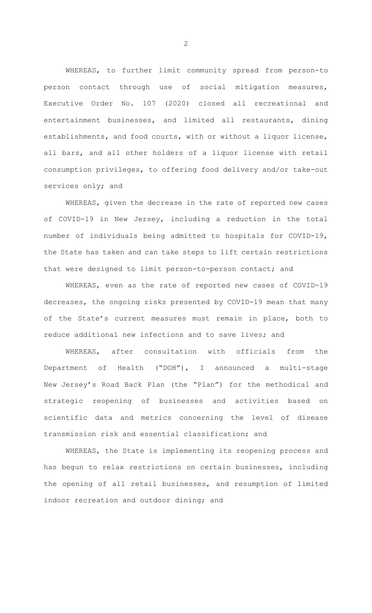WHEREAS, to further limit community spread from person-to person contact through use of social mitigation measures, Executive Order No. 107 (2020) closed all recreational and entertainment businesses, and limited all restaurants, dining establishments, and food courts, with or without a liquor license, all bars, and all other holders of a liquor license with retail consumption privileges, to offering food delivery and/or take-out services only; and

WHEREAS, given the decrease in the rate of reported new cases of COVID-19 in New Jersey, including a reduction in the total number of individuals being admitted to hospitals for COVID-19, the State has taken and can take steps to lift certain restrictions that were designed to limit person-to-person contact; and

WHEREAS, even as the rate of reported new cases of COVID-19 decreases, the ongoing risks presented by COVID-19 mean that many of the State's current measures must remain in place, both to reduce additional new infections and to save lives; and

WHEREAS, after consultation with officials from the Department of Health ("DOH"), I announced a multi-stage New Jersey's Road Back Plan (the "Plan") for the methodical and strategic reopening of businesses and activities based on scientific data and metrics concerning the level of disease transmission risk and essential classification; and

WHEREAS, the State is implementing its reopening process and has begun to relax restrictions on certain businesses, including the opening of all retail businesses, and resumption of limited indoor recreation and outdoor dining; and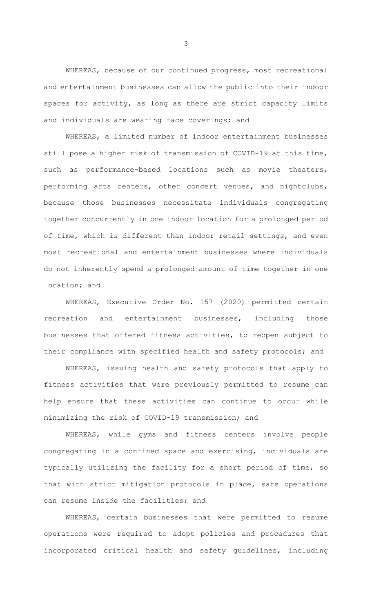WHEREAS, because of our continued progress, most recreational and entertainment businesses can allow the public into their indoor spaces for activity, as long as there are strict capacity limits and individuals are wearing face coverings; and

WHEREAS, a limited number of indoor entertainment businesses still pose a higher risk of transmission of COVID-19 at this time, such as performance-based locations such as movie theaters, performing arts centers, other concert venues, and nightclubs, because those businesses necessitate individuals congregating together concurrently in one indoor location for a prolonged period of time, which is different than indoor retail settings, and even most recreational and entertainment businesses where individuals do not inherently spend a prolonged amount of time together in one location; and

WHEREAS, Executive Order No. 157 (2020) permitted certain recreation and entertainment businesses, including those businesses that offered fitness activities, to reopen subject to their compliance with specified health and safety protocols; and

WHEREAS, issuing health and safety protocols that apply to fitness activities that were previously permitted to resume can help ensure that these activities can continue to occur while minimizing the risk of COVID-19 transmission; and

WHEREAS, while gyms and fitness centers involve people congregating in a confined space and exercising, individuals are typically utilizing the facility for a short period of time, so that with strict mitigation protocols in place, safe operations can resume inside the facilities; and

WHEREAS, certain businesses that were permitted to resume operations were required to adopt policies and procedures that incorporated critical health and safety guidelines, including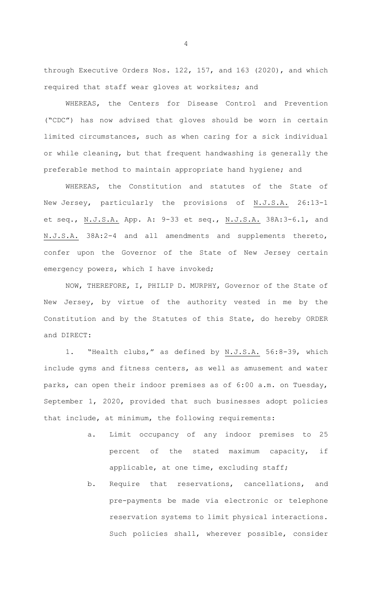through Executive Orders Nos. 122, 157, and 163 (2020), and which required that staff wear gloves at worksites; and

WHEREAS, the Centers for Disease Control and Prevention ("CDC") has now advised that gloves should be worn in certain limited circumstances, such as when caring for a sick individual or while cleaning, but that frequent handwashing is generally the preferable method to maintain appropriate hand hygiene; and

WHEREAS, the Constitution and statutes of the State of New Jersey, particularly the provisions of N.J.S.A. 26:13-1 et seq., N.J.S.A. App. A: 9-33 et seq., N.J.S.A. 38A:3-6.1, and N.J.S.A. 38A:2-4 and all amendments and supplements thereto, confer upon the Governor of the State of New Jersey certain emergency powers, which I have invoked;

NOW, THEREFORE, I, PHILIP D. MURPHY, Governor of the State of New Jersey, by virtue of the authority vested in me by the Constitution and by the Statutes of this State, do hereby ORDER and DIRECT:

1. "Health clubs," as defined by N.J.S.A. 56:8-39, which include gyms and fitness centers, as well as amusement and water parks, can open their indoor premises as of 6:00 a.m. on Tuesday, September 1, 2020, provided that such businesses adopt policies that include, at minimum, the following requirements:

- a. Limit occupancy of any indoor premises to 25 percent of the stated maximum capacity, if applicable, at one time, excluding staff;
- b. Require that reservations, cancellations, and pre-payments be made via electronic or telephone reservation systems to limit physical interactions. Such policies shall, wherever possible, consider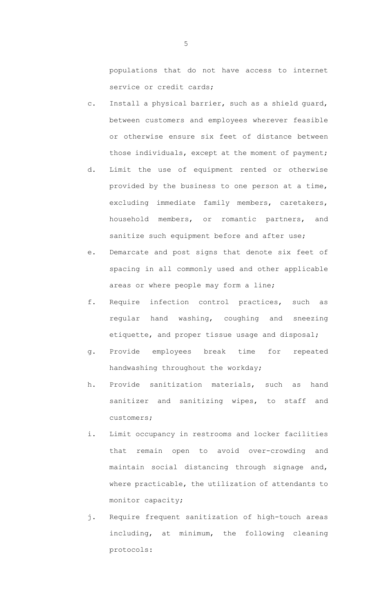populations that do not have access to internet service or credit cards;

- c. Install a physical barrier, such as a shield guard, between customers and employees wherever feasible or otherwise ensure six feet of distance between those individuals, except at the moment of payment;
- d. Limit the use of equipment rented or otherwise provided by the business to one person at a time, excluding immediate family members, caretakers, household members, or romantic partners, and sanitize such equipment before and after use;
- e. Demarcate and post signs that denote six feet of spacing in all commonly used and other applicable areas or where people may form a line;
- f. Require infection control practices, such as regular hand washing, coughing and sneezing etiquette, and proper tissue usage and disposal;
- g. Provide employees break time for repeated handwashing throughout the workday;
- h. Provide sanitization materials, such as hand sanitizer and sanitizing wipes, to staff and customers;
- i. Limit occupancy in restrooms and locker facilities that remain open to avoid over-crowding and maintain social distancing through signage and, where practicable, the utilization of attendants to monitor capacity;
- j. Require frequent sanitization of high-touch areas including, at minimum, the following cleaning protocols: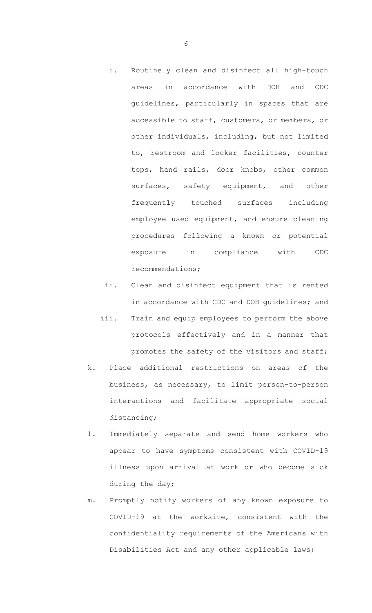- i. Routinely clean and disinfect all high-touch areas in accordance with DOH and CDC guidelines, particularly in spaces that are accessible to staff, customers, or members, or other individuals, including, but not limited to, restroom and locker facilities, counter tops, hand rails, door knobs, other common surfaces, safety equipment, and other frequently touched surfaces including employee used equipment, and ensure cleaning procedures following a known or potential exposure in compliance with CDC recommendations;
- ii. Clean and disinfect equipment that is rented in accordance with CDC and DOH guidelines; and
- iii. Train and equip employees to perform the above protocols effectively and in a manner that promotes the safety of the visitors and staff;
- k. Place additional restrictions on areas of the business, as necessary, to limit person-to-person interactions and facilitate appropriate social distancing;
- l. Immediately separate and send home workers who appear to have symptoms consistent with COVID-19 illness upon arrival at work or who become sick during the day;
- m. Promptly notify workers of any known exposure to COVID-19 at the worksite, consistent with the confidentiality requirements of the Americans with Disabilities Act and any other applicable laws;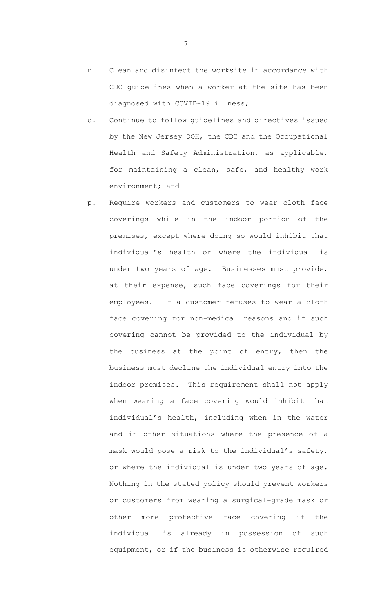- n. Clean and disinfect the worksite in accordance with CDC guidelines when a worker at the site has been diagnosed with COVID-19 illness;
- o. Continue to follow guidelines and directives issued by the New Jersey DOH, the CDC and the Occupational Health and Safety Administration, as applicable, for maintaining a clean, safe, and healthy work environment; and
- p. Require workers and customers to wear cloth face coverings while in the indoor portion of the premises, except where doing so would inhibit that individual's health or where the individual is under two years of age. Businesses must provide, at their expense, such face coverings for their employees. If a customer refuses to wear a cloth face covering for non-medical reasons and if such covering cannot be provided to the individual by the business at the point of entry, then the business must decline the individual entry into the indoor premises. This requirement shall not apply when wearing a face covering would inhibit that individual's health, including when in the water and in other situations where the presence of a mask would pose a risk to the individual's safety, or where the individual is under two years of age. Nothing in the stated policy should prevent workers or customers from wearing a surgical-grade mask or other more protective face covering if the individual is already in possession of such equipment, or if the business is otherwise required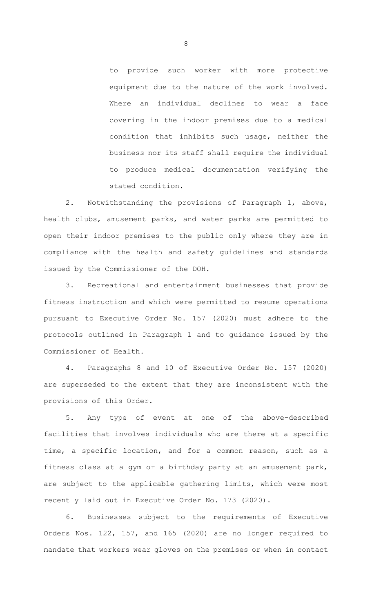to provide such worker with more protective equipment due to the nature of the work involved. Where an individual declines to wear a face covering in the indoor premises due to a medical condition that inhibits such usage, neither the business nor its staff shall require the individual to produce medical documentation verifying the stated condition.

2. Notwithstanding the provisions of Paragraph 1, above, health clubs, amusement parks, and water parks are permitted to open their indoor premises to the public only where they are in compliance with the health and safety guidelines and standards issued by the Commissioner of the DOH.

3. Recreational and entertainment businesses that provide fitness instruction and which were permitted to resume operations pursuant to Executive Order No. 157 (2020) must adhere to the protocols outlined in Paragraph 1 and to guidance issued by the Commissioner of Health.

4. Paragraphs 8 and 10 of Executive Order No. 157 (2020) are superseded to the extent that they are inconsistent with the provisions of this Order.

5. Any type of event at one of the above-described facilities that involves individuals who are there at a specific time, a specific location, and for a common reason, such as a fitness class at a gym or a birthday party at an amusement park, are subject to the applicable gathering limits, which were most recently laid out in Executive Order No. 173 (2020).

6. Businesses subject to the requirements of Executive Orders Nos. 122, 157, and 165 (2020) are no longer required to mandate that workers wear gloves on the premises or when in contact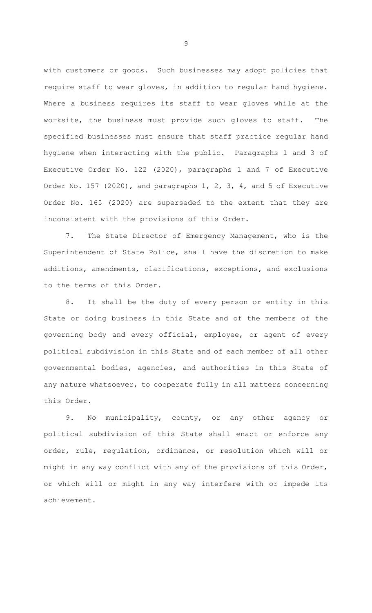with customers or goods. Such businesses may adopt policies that require staff to wear gloves, in addition to regular hand hygiene. Where a business requires its staff to wear gloves while at the worksite, the business must provide such gloves to staff. The specified businesses must ensure that staff practice regular hand hygiene when interacting with the public. Paragraphs 1 and 3 of Executive Order No. 122 (2020), paragraphs 1 and 7 of Executive Order No. 157 (2020), and paragraphs 1, 2, 3, 4, and 5 of Executive Order No. 165 (2020) are superseded to the extent that they are inconsistent with the provisions of this Order.

7. The State Director of Emergency Management, who is the Superintendent of State Police, shall have the discretion to make additions, amendments, clarifications, exceptions, and exclusions to the terms of this Order.

8. It shall be the duty of every person or entity in this State or doing business in this State and of the members of the governing body and every official, employee, or agent of every political subdivision in this State and of each member of all other governmental bodies, agencies, and authorities in this State of any nature whatsoever, to cooperate fully in all matters concerning this Order.

9. No municipality, county, or any other agency or political subdivision of this State shall enact or enforce any order, rule, regulation, ordinance, or resolution which will or might in any way conflict with any of the provisions of this Order, or which will or might in any way interfere with or impede its achievement.